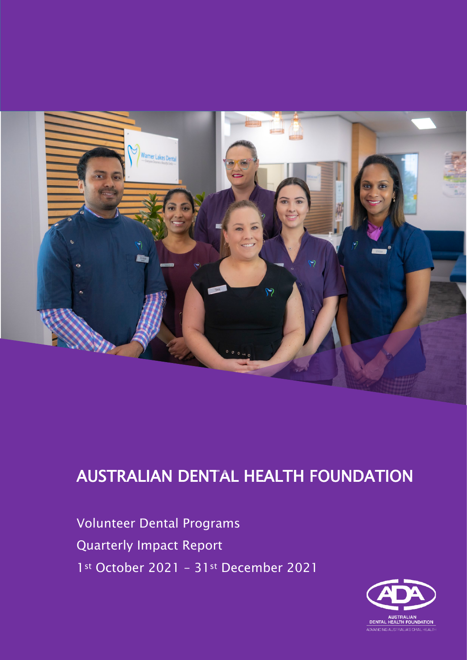

# AUSTRALIAN DENTAL HEALTH FOUNDATION

Volumeer Dental Hograms<br>Augustashy Impact Bonort 1st October 2021 - 31st December 2021 Volunteer Dental Programs Quarterly Impact Report

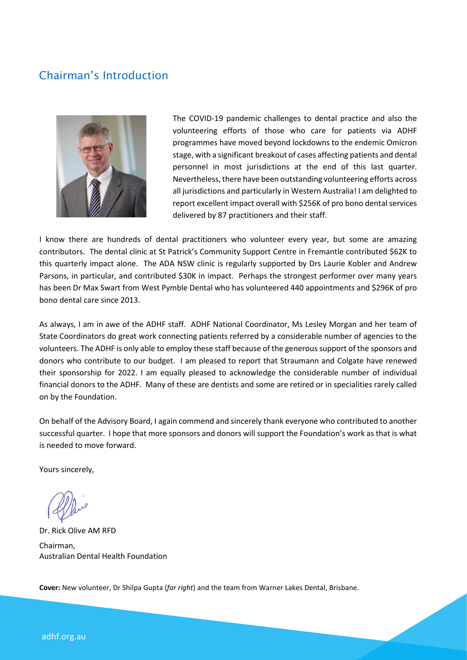## Chairman's Introduction



The COVID-19 pandemic challenges to dental practice and also the volunteering efforts of those who care for patients via ADHF programmes have moved beyond lockdowns to the endemic Omicron stage, with a significant breakout of cases affecting patients and dental personnel in most jurisdictions at the end of this last quarter. Nevertheless, there have been outstanding volunteering efforts across all jurisdictions and particularly in Western Australia! I am delighted to report excellent impact overall with \$256K of pro bono dental services delivered by 87 practitioners and their staff.

I know there are hundreds of dental practitioners who volunteer every year, but some are amazing contributors. The dental clinic at St Patrick's Community Support Centre in Fremantle contributed \$62K to this quarterly impact alone. The ADA NSW clinic is regularly supported by Drs Laurie Kobler and Andrew Parsons, in particular, and contributed \$30K in impact. Perhaps the strongest performer over many years has been Dr Max Swart from West Pymble Dental who has volunteered 440 appointments and \$296K of pro bono dental care since 2013.

As always, I am in awe of the ADHF staff. ADHF National Coordinator, Ms Lesley Morgan and her team of State Coordinators do great work connecting patients referred by a considerable number of agencies to the volunteers. The ADHF is only able to employ these staff because of the generous support of the sponsors and donors who contribute to our budget. I am pleased to report that Straumann and Colgate have renewed their sponsorship for 2022. I am equally pleased to acknowledge the considerable number of individual financial donors to the ADHF. Many of these are dentists and some are retired or in specialities rarely called on by the Foundation.

On behalf of the Advisory Board, I again commend and sincerely thank everyone who contributed to another successful quarter. I hope that more sponsors and donors will support the Foundation's work as that is what is needed to move forward.

Yours sincerely,

Dr. Rick Olive AM RFD Chairman, Australian Dental Health Foundation

**Cover:** New volunteer, Dr Shilpa Gupta (*far right*) and the team from Warner Lakes Dental, Brisbane.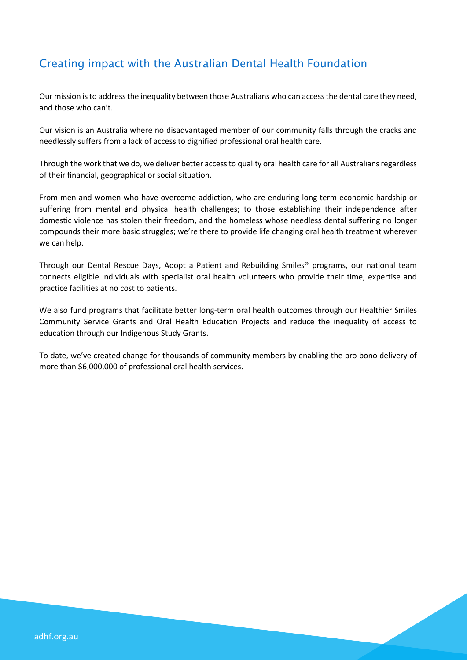# Creating impact with the Australian Dental Health Foundation

Our mission is to address the inequality between those Australians who can access the dental care they need, and those who can't.

Our vision is an Australia where no disadvantaged member of our community falls through the cracks and needlessly suffers from a lack of access to dignified professional oral health care.

Through the work that we do, we deliver better access to quality oral health care for all Australians regardless of their financial, geographical or social situation.

From men and women who have overcome addiction, who are enduring long-term economic hardship or suffering from mental and physical health challenges; to those establishing their independence after domestic violence has stolen their freedom, and the homeless whose needless dental suffering no longer compounds their more basic struggles; we're there to provide life changing oral health treatment wherever we can help.

Through our Dental Rescue Days, Adopt a Patient and Rebuilding Smiles® programs, our national team connects eligible individuals with specialist oral health volunteers who provide their time, expertise and practice facilities at no cost to patients.

We also fund programs that facilitate better long-term oral health outcomes through our Healthier Smiles Community Service Grants and Oral Health Education Projects and reduce the inequality of access to education through our Indigenous Study Grants.

To date, we've created change for thousands of community members by enabling the pro bono delivery of more than \$6,000,000 of professional oral health services.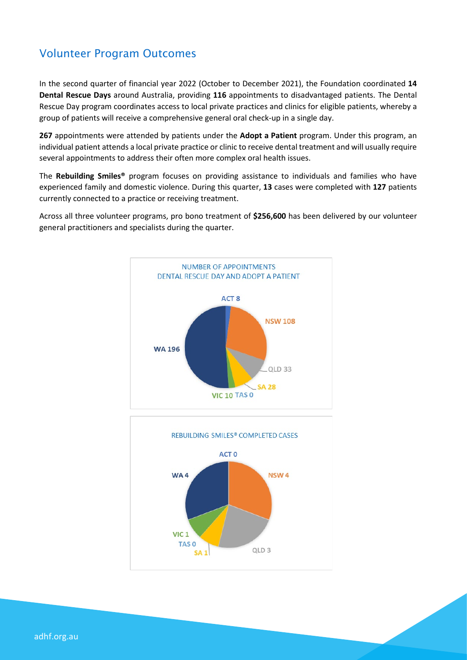## Volunteer Program Outcomes

In the second quarter of financial year 2022 (October to December 2021), the Foundation coordinated **14 Dental Rescue Days** around Australia, providing **116** appointments to disadvantaged patients. The Dental Rescue Day program coordinates access to local private practices and clinics for eligible patients, whereby a group of patients will receive a comprehensive general oral check-up in a single day.

**267** appointments were attended by patients under the **Adopt a Patient** program. Under this program, an individual patient attends a local private practice or clinic to receive dental treatment and will usually require several appointments to address their often more complex oral health issues.

The **Rebuilding Smiles®** program focuses on providing assistance to individuals and families who have experienced family and domestic violence. During this quarter, **13** cases were completed with **127** patients currently connected to a practice or receiving treatment.

Across all three volunteer programs, pro bono treatment of **\$256,600** has been delivered by our volunteer general practitioners and specialists during the quarter.





adhf.org.au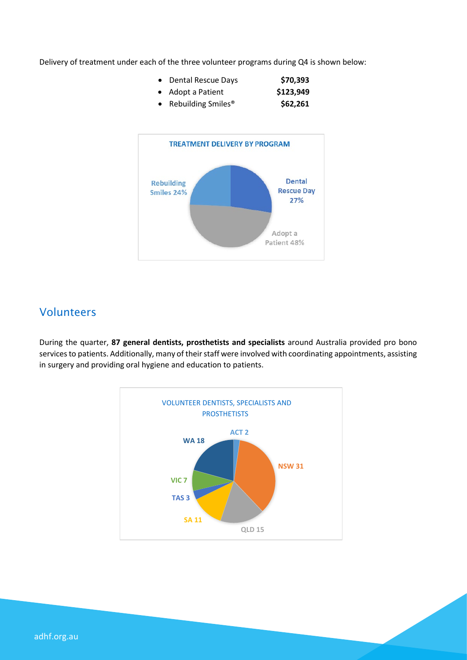Delivery of treatment under each of the three volunteer programs during Q4 is shown below:

| • Dental Rescue Days             | \$70,393  |
|----------------------------------|-----------|
| • Adopt a Patient                | \$123,949 |
| • Rebuilding Smiles <sup>®</sup> | \$62,261  |



### Volunteers

During the quarter, **87 general dentists, prosthetists and specialists** around Australia provided pro bono services to patients. Additionally, many of their staff were involved with coordinating appointments, assisting in surgery and providing oral hygiene and education to patients.

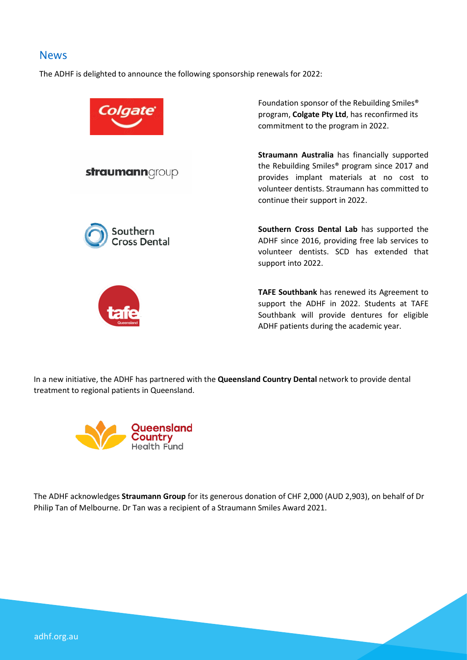#### News

The ADHF is delighted to announce the following sponsorship renewals for 2022:



In a new initiative, the ADHF has partnered with the **Queensland Country Dental** network to provide dental treatment to regional patients in Queensland.



The ADHF acknowledges **Straumann Group** for its generous donation of CHF 2,000 (AUD 2,903), on behalf of Dr Philip Tan of Melbourne. Dr Tan was a recipient of a Straumann Smiles Award 2021.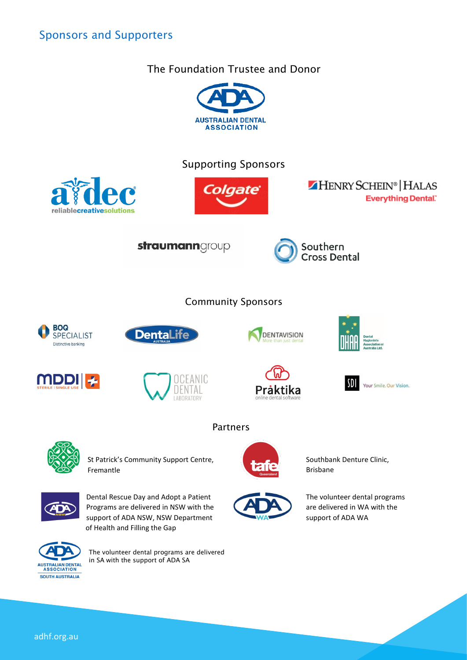## Sponsors and Supporters

#### The Foundation Trustee and Donor





The volunteer dental programs are delivered in SA with the support of ADA SA